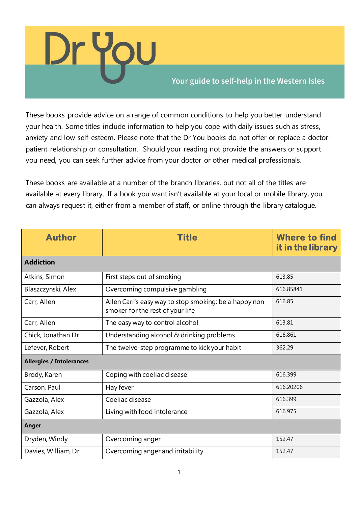

## Your guide to self-help in the Western Isles

These books provide advice on a range of common conditions to help you better understand your health. Some titles include information to help you cope with daily issues such as stress, anxiety and low self-esteem. Please note that the Dr You books do not offer or replace a doctorpatient relationship or consultation. Should your reading not provide the answers or support you need, you can seek further advice from your doctor or other medical professionals.

These books are available at a number of the branch libraries, but not all of the titles are available at every library. If a book you want isn't available at your local or mobile library, you can always request it, either from a member of staff, or online through the library catalogue.

| <b>Author</b>                   | <b>Title</b>                                                                               | <b>Where to find</b><br>it in the library |
|---------------------------------|--------------------------------------------------------------------------------------------|-------------------------------------------|
| <b>Addiction</b>                |                                                                                            |                                           |
| Atkins, Simon                   | First steps out of smoking                                                                 | 613.85                                    |
| Blaszczynski, Alex              | Overcoming compulsive gambling                                                             | 616.85841                                 |
| Carr, Allen                     | Allen Carr's easy way to stop smoking: be a happy non-<br>smoker for the rest of your life | 616.85                                    |
| Carr, Allen                     | The easy way to control alcohol                                                            | 613.81                                    |
| Chick, Jonathan Dr              | Understanding alcohol & drinking problems                                                  | 616.861                                   |
| Lefever, Robert                 | The twelve-step programme to kick your habit                                               | 362.29                                    |
| <b>Allergies / Intolerances</b> |                                                                                            |                                           |
| Brody, Karen                    | Coping with coeliac disease                                                                | 616.399                                   |
| Carson, Paul                    | Hay fever                                                                                  | 616.20206                                 |
| Gazzola, Alex                   | Coeliac disease                                                                            | 616.399                                   |
| Gazzola, Alex                   | Living with food intolerance                                                               | 616.975                                   |
| Anger                           |                                                                                            |                                           |
| Dryden, Windy                   | Overcoming anger                                                                           | 152.47                                    |
| Davies, William, Dr             | Overcoming anger and irritability                                                          | 152.47                                    |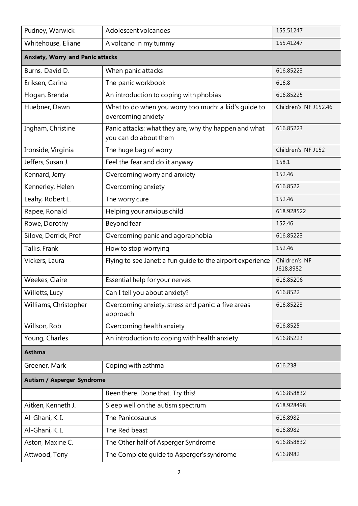| Pudney, Warwick                         | Adolescent volcanoes                                                           | 155.51247                  |
|-----------------------------------------|--------------------------------------------------------------------------------|----------------------------|
| Whitehouse, Eliane                      | A volcano in my tummy                                                          | 155.41247                  |
| <b>Anxiety, Worry and Panic attacks</b> |                                                                                |                            |
| Burns, David D.                         | When panic attacks                                                             | 616.85223                  |
| Eriksen, Carina                         | The panic workbook                                                             | 616.8                      |
| Hogan, Brenda                           | An introduction to coping with phobias                                         | 616.85225                  |
| Huebner, Dawn                           | What to do when you worry too much: a kid's guide to<br>overcoming anxiety     | Children's NF J152.46      |
| Ingham, Christine                       | Panic attacks: what they are, why thy happen and what<br>you can do about them | 616.85223                  |
| Ironside, Virginia                      | The huge bag of worry                                                          | Children's NF J152         |
| Jeffers, Susan J.                       | Feel the fear and do it anyway                                                 | 158.1                      |
| Kennard, Jerry                          | Overcoming worry and anxiety                                                   | 152.46                     |
| Kennerley, Helen                        | Overcoming anxiety                                                             | 616.8522                   |
| Leahy, Robert L.                        | The worry cure                                                                 | 152.46                     |
| Rapee, Ronald                           | Helping your anxious child                                                     | 618.928522                 |
| Rowe, Dorothy                           | Beyond fear                                                                    | 152.46                     |
| Silove, Derrick, Prof                   | Overcoming panic and agoraphobia                                               | 616.85223                  |
| Tallis, Frank                           | How to stop worrying                                                           | 152.46                     |
| Vickers, Laura                          | Flying to see Janet: a fun guide to the airport experience                     | Children's NF<br>J618.8982 |
| Weekes, Claire                          | Essential help for your nerves                                                 | 616.85206                  |
| Willetts, Lucy                          | Can I tell you about anxiety?                                                  | 616.8522                   |
| Williams, Christopher                   | Overcoming anxiety, stress and panic: a five areas<br>approach                 | 616.85223                  |
| Willson, Rob                            | Overcoming health anxiety                                                      | 616.8525                   |
| Young, Charles                          | An introduction to coping with health anxiety                                  | 616.85223                  |
| <b>Asthma</b>                           |                                                                                |                            |
| Greener, Mark                           | Coping with asthma                                                             | 616.238                    |
| <b>Autism / Asperger Syndrome</b>       |                                                                                |                            |
|                                         | Been there. Done that. Try this!                                               | 616.858832                 |
| Aitken, Kenneth J.                      | Sleep well on the autism spectrum                                              | 618.928498                 |
| Al-Ghani, K.I.                          | The Panicosaurus                                                               | 616.8982                   |
| Al-Ghani, K.I.                          | The Red beast                                                                  | 616.8982                   |
| Aston, Maxine C.                        | The Other half of Asperger Syndrome                                            | 616.858832                 |
| Attwood, Tony                           | The Complete guide to Asperger's syndrome                                      | 616.8982                   |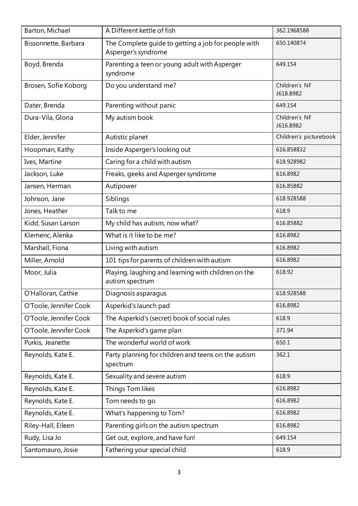| Barton, Michael        | A Different kettle of fish                                                 | 362.1968588                |
|------------------------|----------------------------------------------------------------------------|----------------------------|
| Bissonnette, Barbara   | The Complete guide to getting a job for people with<br>Asperger's syndrome | 650.140874                 |
| Boyd, Brenda           | Parenting a teen or young adult with Asperger<br>syndrome                  | 649.154                    |
| Brosen, Sofie Koborg   | Do you understand me?                                                      | Children's NF<br>J618.8982 |
| Dater, Brenda          | Parenting without panic                                                    | 649.154                    |
| Dura-Vila, Gloria      | My autism book                                                             | Children's NF<br>J616.8982 |
| Elder, Jennifer        | Autistic planet                                                            | Children's picturebook     |
| Hoopman, Kathy         | Inside Asperger's looking out                                              | 616.858832                 |
| Ives, Martine          | Caring for a child with autism                                             | 618.928982                 |
| Jackson, Luke          | Freaks, geeks and Asperger syndrome                                        | 616.8982                   |
| Jansen, Herman         | Autipower                                                                  | 616.85882                  |
| Johnson, Jane          | Siblings                                                                   | 618.928588                 |
| Jones, Heather         | Talk to me                                                                 | 618.9                      |
| Kidd, Susan Larson     | My child has autism, now what?                                             | 616.85882                  |
| Klemenc, Alenka        | What is it like to be me?                                                  | 616.8982                   |
| Marshall, Fiona        | Living with autism                                                         | 616.8982                   |
| Miller, Arnold         | 101 tips for parents of children with autism                               | 616.8982                   |
| Moor, Julia            | Playing, laughing and learning with children on the<br>autism spectrum     | 618.92                     |
| O'Halloran, Cathie     | Diagnosis asparagus                                                        | 618.928588                 |
| O'Toole, Jennifer Cook | Asperkid's launch pad                                                      | 616.8982                   |
| O'Toole, Jennifer Cook | The Asperkid's (secret) book of social rules                               | 618.9                      |
| O'Toole, Jennifer Cook | The Asperkid's game plan                                                   | 371.94                     |
| Purkis, Jeanette       | The wonderful world of work                                                | 650.1                      |
| Reynolds, Kate E.      | Party planning for children and teens on the autism<br>spectrum            | 362.1                      |
| Reynolds, Kate E.      | Sexuality and severe autism                                                | 618.9                      |
| Reynolds, Kate E.      | Things Tom likes                                                           | 616.8982                   |
| Reynolds, Kate E.      | Tom needs to go                                                            | 616.8982                   |
| Reynolds, Kate E.      | What's happening to Tom?                                                   | 616.8982                   |
| Riley-Hall, Eileen     | Parenting girls on the autism spectrum                                     | 616.8982                   |
| Rudy, Lisa Jo          | Get out, explore, and have fun!                                            | 649.154                    |
| Santomauro, Josie      | Fathering your special child                                               | 618.9                      |
|                        |                                                                            |                            |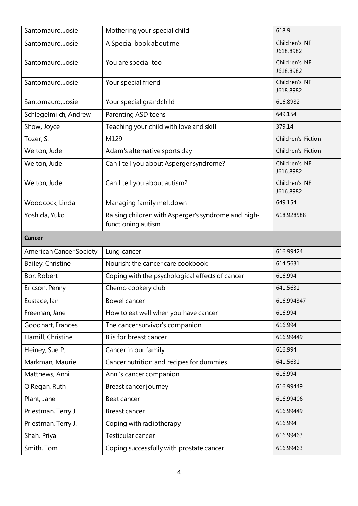| Santomauro, Josie              | Mothering your special child                                              | 618.9                      |
|--------------------------------|---------------------------------------------------------------------------|----------------------------|
| Santomauro, Josie              | A Special book about me                                                   | Children's NF<br>J618.8982 |
| Santomauro, Josie              | You are special too                                                       | Children's NF<br>J618.8982 |
| Santomauro, Josie              | Your special friend                                                       | Children's NF<br>J618.8982 |
| Santomauro, Josie              | Your special grandchild                                                   | 616.8982                   |
| Schlegelmilch, Andrew          | Parenting ASD teens                                                       | 649.154                    |
| Show, Joyce                    | Teaching your child with love and skill                                   | 379.14                     |
| Tozer, S.                      | M129                                                                      | Children's Fiction         |
| Welton, Jude                   | Adam's alternative sports day                                             | Children's Fiction         |
| Welton, Jude                   | Can I tell you about Asperger syndrome?                                   | Children's NF<br>J616.8982 |
| Welton, Jude                   | Can I tell you about autism?                                              | Children's NF<br>J616.8982 |
| Woodcock, Linda                | Managing family meltdown                                                  | 649.154                    |
| Yoshida, Yuko                  | Raising children with Asperger's syndrome and high-<br>functioning autism | 618.928588                 |
| <b>Cancer</b>                  |                                                                           |                            |
| <b>American Cancer Society</b> | Lung cancer                                                               | 616.99424                  |
| Bailey, Christine              | Nourish: the cancer care cookbook                                         | 614.5631                   |
| Bor, Robert                    | Coping with the psychological effects of cancer                           | 616.994                    |
| Ericson, Penny                 | Chemo cookery club                                                        | 641.5631                   |
| Eustace, Ian                   |                                                                           |                            |
|                                | Bowel cancer                                                              | 616.994347                 |
| Freeman, Jane                  | How to eat well when you have cancer                                      | 616.994                    |
| Goodhart, Frances              | The cancer survivor's companion                                           | 616.994                    |
| Hamill, Christine              | B is for breast cancer                                                    | 616.99449                  |
| Heiney, Sue P.                 | Cancer in our family                                                      | 616.994                    |
| Markman, Maurie                | Cancer nutrition and recipes for dummies                                  | 641.5631                   |
| Matthews, Anni                 | Anni's cancer companion                                                   | 616.994                    |
| O'Regan, Ruth                  | Breast cancer journey                                                     | 616.99449                  |
| Plant, Jane                    | Beat cancer                                                               | 616.99406                  |
| Priestman, Terry J.            | <b>Breast cancer</b>                                                      | 616.99449                  |
| Priestman, Terry J.            | Coping with radiotherapy                                                  | 616.994                    |
| Shah, Priya                    | Testicular cancer                                                         | 616.99463                  |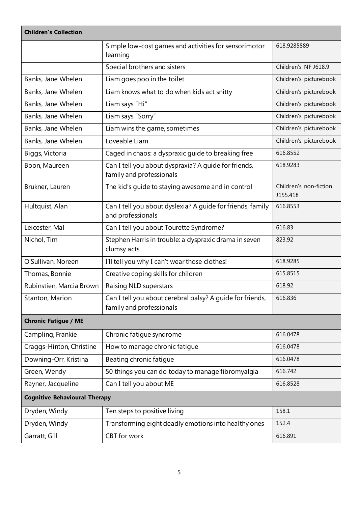| <b>Children's Collection</b>         |                                                                                       |                                    |
|--------------------------------------|---------------------------------------------------------------------------------------|------------------------------------|
|                                      | Simple low-cost games and activities for sensorimotor<br>learning                     | 618.9285889                        |
|                                      | Special brothers and sisters                                                          | Children's NF J618.9               |
| Banks, Jane Whelen                   | Liam goes poo in the toilet                                                           | Children's picturebook             |
| Banks, Jane Whelen                   | Liam knows what to do when kids act snitty                                            | Children's picturebook             |
| Banks, Jane Whelen                   | Liam says "Hi"                                                                        | Children's picturebook             |
| Banks, Jane Whelen                   | Liam says "Sorry"                                                                     | Children's picturebook             |
| Banks, Jane Whelen                   | Liam wins the game, sometimes                                                         | Children's picturebook             |
| Banks, Jane Whelen                   | Loveable Liam                                                                         | Children's picturebook             |
| Biggs, Victoria                      | Caged in chaos: a dyspraxic guide to breaking free                                    | 616.8552                           |
| Boon, Maureen                        | Can I tell you about dyspraxia? A guide for friends,<br>family and professionals      | 618.9283                           |
| Brukner, Lauren                      | The kid's guide to staying awesome and in control                                     | Children's non-fiction<br>J155.418 |
| Hultquist, Alan                      | Can I tell you about dyslexia? A guide for friends, family<br>and professionals       | 616.8553                           |
| Leicester, Mal                       | Can I tell you about Tourette Syndrome?                                               | 616.83                             |
| Nichol, Tim                          | Stephen Harris in trouble: a dyspraxic drama in seven<br>clumsy acts                  | 823.92                             |
| O'Sullivan, Noreen                   | I'll tell you why I can't wear those clothes!                                         | 618.9285                           |
| Thomas, Bonnie                       | Creative coping skills for children                                                   | 615.8515                           |
| Rubinstien, Marcia Brown             | <b>Raising NLD superstars</b>                                                         | 618.92                             |
| Stanton, Marion                      | Can I tell you about cerebral palsy? A guide for friends,<br>family and professionals | 616.836                            |
| <b>Chronic Fatigue / ME</b>          |                                                                                       |                                    |
| Campling, Frankie                    | Chronic fatigue syndrome                                                              | 616.0478                           |
| Craggs-Hinton, Christine             | How to manage chronic fatigue                                                         | 616.0478                           |
| Downing-Orr, Kristina                | Beating chronic fatique                                                               | 616.0478                           |
| Green, Wendy                         | 50 things you can do today to manage fibromyalgia                                     | 616.742                            |
| Rayner, Jacqueline                   | Can I tell you about ME                                                               | 616.8528                           |
| <b>Cognitive Behavioural Therapy</b> |                                                                                       |                                    |
| Dryden, Windy                        | Ten steps to positive living                                                          | 158.1                              |
| Dryden, Windy                        | Transforming eight deadly emotions into healthy ones                                  | 152.4                              |
| Garratt, Gill                        | <b>CBT</b> for work                                                                   | 616.891                            |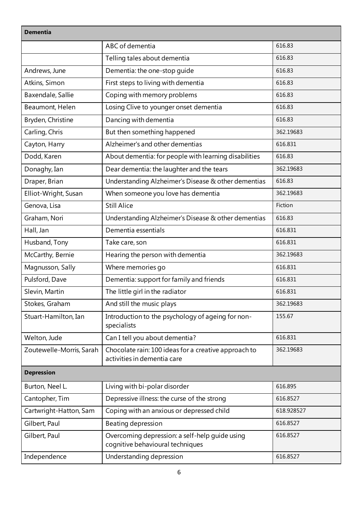| <b>Dementia</b>          |                                                                                     |            |  |
|--------------------------|-------------------------------------------------------------------------------------|------------|--|
|                          | ABC of dementia                                                                     | 616.83     |  |
|                          | Telling tales about dementia                                                        | 616.83     |  |
| Andrews, June            | Dementia: the one-stop guide                                                        | 616.83     |  |
| Atkins, Simon            | First steps to living with dementia                                                 | 616.83     |  |
| Baxendale, Sallie        | Coping with memory problems                                                         | 616.83     |  |
| Beaumont, Helen          | Losing Clive to younger onset dementia                                              | 616.83     |  |
| Bryden, Christine        | Dancing with dementia                                                               | 616.83     |  |
| Carling, Chris           | But then something happened                                                         | 362.19683  |  |
| Cayton, Harry            | Alzheimer's and other dementias                                                     | 616.831    |  |
| Dodd, Karen              | About dementia: for people with learning disabilities                               | 616.83     |  |
| Donaghy, Ian             | Dear dementia: the laughter and the tears                                           | 362.19683  |  |
| Draper, Brian            | Understanding Alzheimer's Disease & other dementias                                 | 616.83     |  |
| Elliot-Wright, Susan     | When someone you love has dementia                                                  | 362.19683  |  |
| Genova, Lisa             | <b>Still Alice</b>                                                                  | Fiction    |  |
| Graham, Nori             | Understanding Alzheimer's Disease & other dementias                                 | 616.83     |  |
| Hall, Jan                | Dementia essentials                                                                 | 616.831    |  |
| Husband, Tony            | Take care, son                                                                      | 616.831    |  |
| McCarthy, Bernie         | Hearing the person with dementia                                                    | 362.19683  |  |
| Magnusson, Sally         | Where memories go                                                                   | 616.831    |  |
| Pulsford, Dave           | Dementia: support for family and friends                                            | 616.831    |  |
| Slevin, Martin           | The little girl in the radiator                                                     | 616.831    |  |
| Stokes, Graham           | And still the music plays                                                           | 362.19683  |  |
| Stuart-Hamilton, Ian     | Introduction to the psychology of ageing for non-<br>specialists                    | 155.67     |  |
| Welton, Jude             | Can I tell you about dementia?                                                      | 616.831    |  |
| Zoutewelle-Morris, Sarah | Chocolate rain: 100 ideas for a creative approach to<br>activities in dementia care | 362.19683  |  |
| <b>Depression</b>        |                                                                                     |            |  |
| Burton, Neel L.          | Living with bi-polar disorder                                                       | 616.895    |  |
| Cantopher, Tim           | Depressive illness: the curse of the strong                                         | 616.8527   |  |
| Cartwright-Hatton, Sam   | Coping with an anxious or depressed child                                           | 618.928527 |  |
| Gilbert, Paul            | Beating depression                                                                  | 616.8527   |  |
| Gilbert, Paul            | Overcoming depression: a self-help quide using<br>cognitive behavioural techniques  | 616.8527   |  |
| Independence             | Understanding depression                                                            | 616.8527   |  |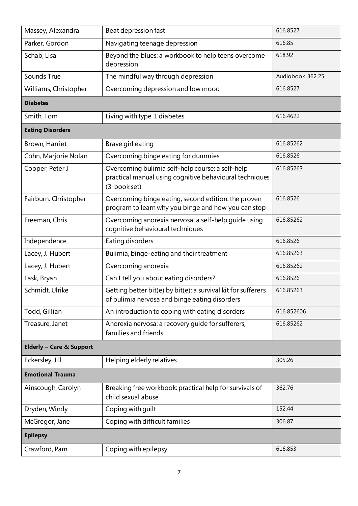| Massey, Alexandra                   | Beat depression fast                                                                                                        | 616.8527         |
|-------------------------------------|-----------------------------------------------------------------------------------------------------------------------------|------------------|
| Parker, Gordon                      | Navigating teenage depression                                                                                               | 616.85           |
| Schab, Lisa                         | Beyond the blues: a workbook to help teens overcome<br>depression                                                           | 618.92           |
| Sounds True                         | The mindful way through depression                                                                                          | Audiobook 362.25 |
| Williams, Christopher               | Overcoming depression and low mood                                                                                          | 616.8527         |
| <b>Diabetes</b>                     |                                                                                                                             |                  |
| Smith, Tom                          | Living with type 1 diabetes                                                                                                 | 616.4622         |
| <b>Eating Disorders</b>             |                                                                                                                             |                  |
| Brown, Harriet                      | Brave girl eating                                                                                                           | 616.85262        |
| Cohn, Marjorie Nolan                | Overcoming binge eating for dummies                                                                                         | 616.8526         |
| Cooper, Peter J                     | Overcoming bulimia self-help course: a self-help<br>practical manual using cognitive behavioural techniques<br>(3-book set) | 616.85263        |
| Fairburn, Christopher               | Overcoming binge eating, second edition: the proven<br>program to learn why you binge and how you can stop                  | 616.8526         |
| Freeman, Chris                      | Overcoming anorexia nervosa: a self-help quide using<br>cognitive behavioural techniques                                    | 616.85262        |
| Independence                        | Eating disorders                                                                                                            | 616.8526         |
| Lacey, J. Hubert                    | Bulimia, binge-eating and their treatment                                                                                   | 616.85263        |
| Lacey, J. Hubert                    | Overcoming anorexia                                                                                                         | 616.85262        |
| Lask, Bryan                         | Can I tell you about eating disorders?                                                                                      | 616.8526         |
| Schmidt, Ulrike                     | Getting better bit(e) by bit(e): a survival kit for sufferers<br>of bulimia nervosa and binge eating disorders              | 616.85263        |
| Todd, Gillian                       | An introduction to coping with eating disorders                                                                             | 616.852606       |
| Treasure, Janet                     | Anorexia nervosa: a recovery guide for sufferers,<br>families and friends                                                   | 616.85262        |
| <b>Elderly - Care &amp; Support</b> |                                                                                                                             |                  |
| Eckersley, Jill                     | Helping elderly relatives                                                                                                   | 305.26           |
| <b>Emotional Trauma</b>             |                                                                                                                             |                  |
| Ainscough, Carolyn                  | Breaking free workbook: practical help for survivals of<br>child sexual abuse                                               | 362.76           |
| Dryden, Windy                       | Coping with guilt                                                                                                           | 152.44           |
| McGregor, Jane                      | Coping with difficult families                                                                                              | 306.87           |
| <b>Epilepsy</b>                     |                                                                                                                             |                  |
| Crawford, Pam                       | Coping with epilepsy                                                                                                        | 616.853          |
|                                     |                                                                                                                             |                  |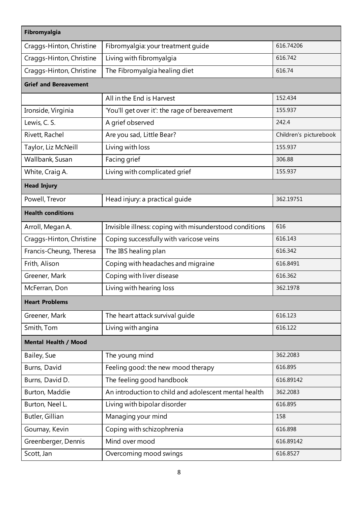| Fibromyalgia                 |                                                         |                        |  |
|------------------------------|---------------------------------------------------------|------------------------|--|
| Craggs-Hinton, Christine     | Fibromyalgia: your treatment guide                      | 616.74206              |  |
| Craggs-Hinton, Christine     | Living with fibromyalgia                                | 616.742                |  |
| Craggs-Hinton, Christine     | The Fibromyalgia healing diet                           | 616.74                 |  |
| <b>Grief and Bereavement</b> |                                                         |                        |  |
|                              | All in the End is Harvest                               | 152.434                |  |
| Ironside, Virginia           | 'You'll get over it': the rage of bereavement           | 155.937                |  |
| Lewis, C. S.                 | A grief observed                                        | 242.4                  |  |
| Rivett, Rachel               | Are you sad, Little Bear?                               | Children's picturebook |  |
| Taylor, Liz McNeill          | Living with loss                                        | 155.937                |  |
| Wallbank, Susan              | Facing grief                                            | 306.88                 |  |
| White, Craig A.              | Living with complicated grief                           | 155.937                |  |
| <b>Head Injury</b>           |                                                         |                        |  |
| Powell, Trevor               | Head injury: a practical guide                          | 362.19751              |  |
| <b>Health conditions</b>     |                                                         |                        |  |
| Arroll, Megan A.             | Invisible illness: coping with misunderstood conditions | 616                    |  |
| Craggs-Hinton, Christine     | Coping successfully with varicose veins                 | 616.143                |  |
| Francis-Cheung, Theresa      | The IBS healing plan                                    | 616.342                |  |
| Frith, Alison                | Coping with headaches and migraine                      | 616.8491               |  |
| Greener, Mark                | Coping with liver disease                               | 616.362                |  |
| McFerran, Don                | Living with hearing loss                                | 362.1978               |  |
| <b>Heart Problems</b>        |                                                         |                        |  |
| Greener, Mark                | The heart attack survival guide                         | 616.123                |  |
| Smith, Tom                   | Living with angina                                      | 616.122                |  |
| <b>Mental Health / Mood</b>  |                                                         |                        |  |
| Bailey, Sue                  | The young mind                                          | 362.2083               |  |
| Burns, David                 | Feeling good: the new mood therapy                      | 616.895                |  |
| Burns, David D.              | The feeling good handbook                               | 616.89142              |  |
| Burton, Maddie               | An introduction to child and adolescent mental health   | 362.2083               |  |
| Burton, Neel L.              | Living with bipolar disorder                            | 616.895                |  |
| Butler, Gillian              | Managing your mind                                      | 158                    |  |
| Gournay, Kevin               | Coping with schizophrenia                               | 616.898                |  |
| Greenberger, Dennis          | Mind over mood                                          | 616.89142              |  |
| Scott, Jan                   | Overcoming mood swings                                  | 616.8527               |  |
|                              |                                                         |                        |  |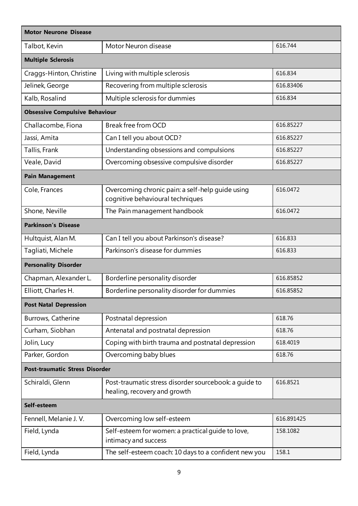| <b>Motor Neurone Disease</b>          |                                                                                       |            |  |
|---------------------------------------|---------------------------------------------------------------------------------------|------------|--|
| Talbot, Kevin                         | Motor Neuron disease                                                                  | 616.744    |  |
| <b>Multiple Sclerosis</b>             |                                                                                       |            |  |
| Craggs-Hinton, Christine              | Living with multiple sclerosis                                                        | 616.834    |  |
| Jelinek, George                       | Recovering from multiple sclerosis                                                    | 616.83406  |  |
| Kalb, Rosalind                        | Multiple sclerosis for dummies                                                        | 616.834    |  |
| <b>Obsessive Compulsive Behaviour</b> |                                                                                       |            |  |
| Challacombe, Fiona                    | Break free from OCD                                                                   | 616.85227  |  |
| Jassi, Amita                          | Can I tell you about OCD?                                                             | 616.85227  |  |
| Tallis, Frank                         | Understanding obsessions and compulsions                                              | 616.85227  |  |
| Veale, David                          | Overcoming obsessive compulsive disorder                                              | 616.85227  |  |
| <b>Pain Management</b>                |                                                                                       |            |  |
| Cole, Frances                         | Overcoming chronic pain: a self-help guide using<br>cognitive behavioural techniques  | 616.0472   |  |
| Shone, Neville                        | The Pain management handbook                                                          | 616.0472   |  |
| <b>Parkinson's Disease</b>            |                                                                                       |            |  |
| Hultquist, Alan M.                    | Can I tell you about Parkinson's disease?                                             | 616.833    |  |
| Tagliati, Michele                     | Parkinson's disease for dummies                                                       | 616.833    |  |
| <b>Personality Disorder</b>           |                                                                                       |            |  |
| Chapman, Alexander L.                 | Borderline personality disorder                                                       | 616.85852  |  |
| Elliott, Charles H.                   | Borderline personality disorder for dummies                                           | 616.85852  |  |
| <b>Post Natal Depression</b>          |                                                                                       |            |  |
| Burrows, Catherine                    | Postnatal depression                                                                  | 618.76     |  |
| Curham, Siobhan                       | Antenatal and postnatal depression                                                    | 618.76     |  |
| Jolin, Lucy                           | Coping with birth trauma and postnatal depression                                     | 618.4019   |  |
| Parker, Gordon                        | Overcoming baby blues                                                                 | 618.76     |  |
| <b>Post-traumatic Stress Disorder</b> |                                                                                       |            |  |
| Schiraldi, Glenn                      | Post-traumatic stress disorder sourcebook: a quide to<br>healing, recovery and growth | 616.8521   |  |
| Self-esteem                           |                                                                                       |            |  |
| Fennell, Melanie J.V.                 | Overcoming low self-esteem                                                            | 616.891425 |  |
| Field, Lynda                          | Self-esteem for women: a practical quide to love,<br>intimacy and success             | 158.1082   |  |
| Field, Lynda                          | The self-esteem coach: 10 days to a confident new you                                 | 158.1      |  |